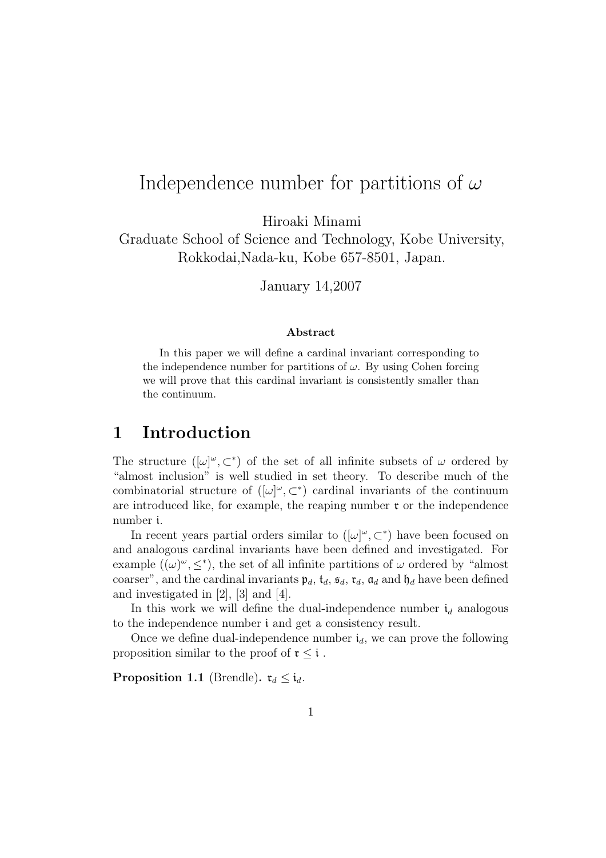# Independence number for partitions of  $\omega$

Hiroaki Minami

Graduate School of Science and Technology, Kobe University, Rokkodai,Nada-ku, Kobe 657-8501, Japan.

January 14,2007

#### Abstract

In this paper we will define a cardinal invariant corresponding to the independence number for partitions of  $\omega$ . By using Cohen forcing we will prove that this cardinal invariant is consistently smaller than the continuum.

## 1 Introduction

The structure  $([\omega]^\omega, \subset^*)$  of the set of all infinite subsets of  $\omega$  ordered by "almost inclusion" is well studied in set theory. To describe much of the combinatorial structure of  $([\omega]^\omega, \mathbb{C}^*)$  cardinal invariants of the continuum are introduced like, for example, the reaping number  $\mathfrak{r}$  or the independence number i.

In recent years partial orders similar to  $([\omega]^\omega, \subset^*)$  have been focused on and analogous cardinal invariants have been defined and investigated. For example  $((\omega)^{\omega}, \leq^*)$ , the set of all infinite partitions of  $\omega$  ordered by "almost" coarser", and the cardinal invariants  $\mathfrak{p}_d$ ,  $\mathfrak{t}_d$ ,  $\mathfrak{s}_d$ ,  $\mathfrak{r}_d$ ,  $\mathfrak{a}_d$  and  $\mathfrak{h}_d$  have been defined and investigated in [2], [3] and [4].

In this work we will define the dual-independence number  $i_d$  analogous to the independence number i and get a consistency result.

Once we define dual-independence number  $\mathfrak{i}_d$ , we can prove the following proposition similar to the proof of  $\mathfrak{r} \leq \mathfrak{i}$ .

**Proposition 1.1** (Brendle).  $\mathfrak{r}_d \leq \mathfrak{i}_d$ .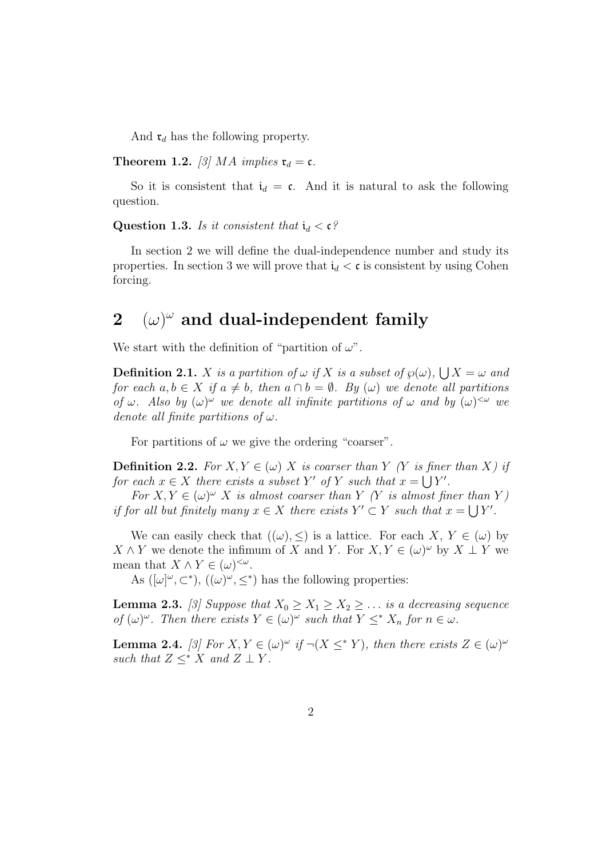And  $\mathfrak{r}_d$  has the following property.

**Theorem 1.2.** [3] MA implies  $\mathfrak{r}_d = \mathfrak{c}$ .

So it is consistent that  $i_d = c$ . And it is natural to ask the following question.

#### Question 1.3. Is it consistent that  $i_d < \mathfrak{c}$ ?

In section 2 we will define the dual-independence number and study its properties. In section 3 we will prove that  $i_d < c$  is consistent by using Cohen forcing.

# 2  $(\omega)^\omega$  and dual-independent family

We start with the definition of "partition of  $\omega$ ".

**Definition 2.1.** X is a partition of  $\omega$  if X is a subset of  $\wp(\omega)$ , S  $X = \omega$  and for each  $a, b \in X$  if  $a \neq b$ , then  $a \cap b = \emptyset$ . By  $(\omega)$  we denote all partitions of  $\omega$ . Also by  $(\omega)^\omega$  we denote all infinite partitions of  $\omega$  and by  $(\omega)^{<\omega}$  we denote all finite partitions of  $\omega$ .

For partitions of  $\omega$  we give the ordering "coarser".

**Definition 2.2.** For  $X, Y \in (\omega)$  X is coarser than Y (Y is finer than X) if for each  $x \in X$  there exists a subset Y' of Y such that  $x = \bigcup Y'$ .

For  $X, Y \in (\omega)^\omega$  X is almost coarser than Y (Y is almost finer than Y) if for all but finitely many  $x \in X$  there exists  $Y' \subset Y$  such that  $x = \bigcup Y'$ .

We can easily check that  $((\omega), \leq)$  is a lattice. For each X,  $Y \in (\omega)$  by  $X \wedge Y$  we denote the infimum of X and Y. For  $X, Y \in (\omega)^\omega$  by  $X \perp Y$  we mean that  $X \wedge Y \in (\omega)^{<\omega}$ .

As  $([\omega]^\omega, \subset^*), ((\omega)^\omega, \leq^*)$  has the following properties:

**Lemma 2.3.** [3] Suppose that  $X_0 \geq X_1 \geq X_2 \geq \ldots$  is a decreasing sequence of  $(\omega)^{\omega}$ . Then there exists  $Y \in (\omega)^{\omega}$  such that  $Y \leq^* X_n$  for  $n \in \omega$ .

**Lemma 2.4.** [3] For  $X, Y \in (\omega)^{\omega}$  if  $\neg(X \leq^* Y)$ , then there exists  $Z \in (\omega)^{\omega}$ such that  $Z \leq^* X$  and  $Z \perp Y$ .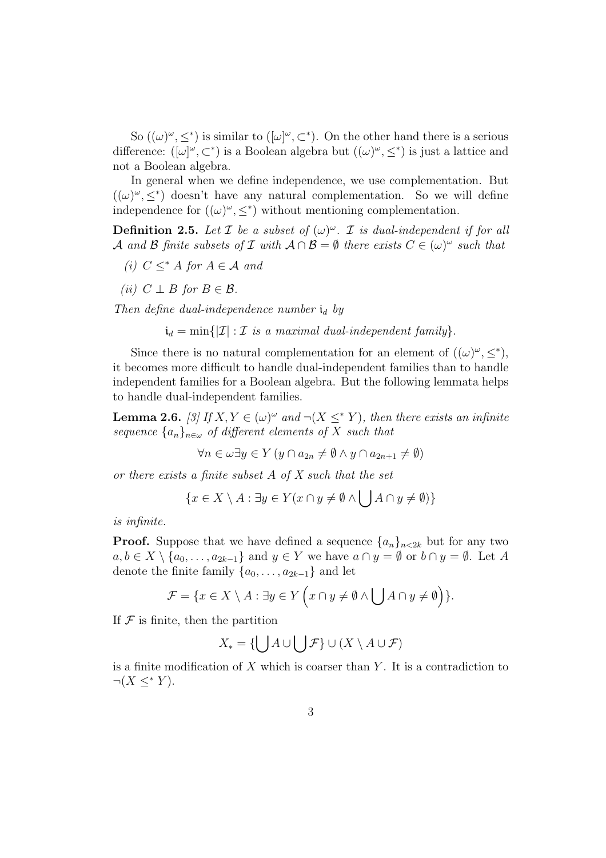So  $((\omega)^{\omega}, \leq^*)$  is similar to  $([\omega]^{\omega}, \subset^*)$ . On the other hand there is a serious difference:  $([\omega]^\omega, \subset^*)$  is a Boolean algebra but  $((\omega)^\omega, \leq^*)$  is just a lattice and not a Boolean algebra.

In general when we define independence, we use complementation. But  $((\omega)^{\omega}, \leq^*)$  doesn't have any natural complementation. So we will define independence for  $((\omega)^{\omega}, \leq^*)$  without mentioning complementation.

**Definition 2.5.** Let  $\mathcal I$  be a subset of  $(\omega)^\omega$ .  $\mathcal I$  is dual-independent if for all A and B finite subsets of I with  $A \cap B = \emptyset$  there exists  $C \in (\omega)^\omega$  such that

- (i)  $C \leq^* A$  for  $A \in \mathcal{A}$  and
- (ii)  $C \perp B$  for  $B \in \mathcal{B}$ .

Then define dual-independence number  $\mathfrak{i}_d$  by

 $i_d = \min\{|\mathcal{I}| : \mathcal{I}$  is a maximal dual-independent family}.

Since there is no natural complementation for an element of  $((\omega)^{\omega}, \leq^*)$ , it becomes more difficult to handle dual-independent families than to handle independent families for a Boolean algebra. But the following lemmata helps to handle dual-independent families.

**Lemma 2.6.** [3] If  $X, Y \in (\omega)^\omega$  and  $\neg(X \leq^* Y)$ , then there exists an infinite sequence  $\{a_n\}_{n\in\omega}$  of different elements of X such that

$$
\forall n \in \omega \exists y \in Y \ (y \cap a_{2n} \neq \emptyset \land y \cap a_{2n+1} \neq \emptyset)
$$

or there exists a finite subset A of X such that the set

$$
\{x \in X \setminus A : \exists y \in Y (x \cap y \neq \emptyset \land \bigcup A \cap y \neq \emptyset)\}\
$$

is infinite.

**Proof.** Suppose that we have defined a sequence  $\{a_n\}_{n\leq 2k}$  but for any two  $a, b \in X \setminus \{a_0, \ldots, a_{2k-1}\}\$ and  $y \in Y$  we have  $a \cap y = \emptyset$  or  $b \cap y = \emptyset$ . Let A denote the finite family  $\{a_0, \ldots, a_{2k-1}\}\$  and let

$$
\mathcal{F} = \{x \in X \setminus A : \exists y \in Y \left(x \cap y \neq \emptyset \wedge \bigcup A \cap y \neq \emptyset\right)\}.
$$

If  $\mathcal F$  is finite, then the partition

$$
X_* = \{ \bigcup A \cup \bigcup \mathcal{F} \} \cup (X \setminus A \cup \mathcal{F})
$$

is a finite modification of  $X$  which is coarser than  $Y$ . It is a contradiction to  $\neg(X \leq^* Y).$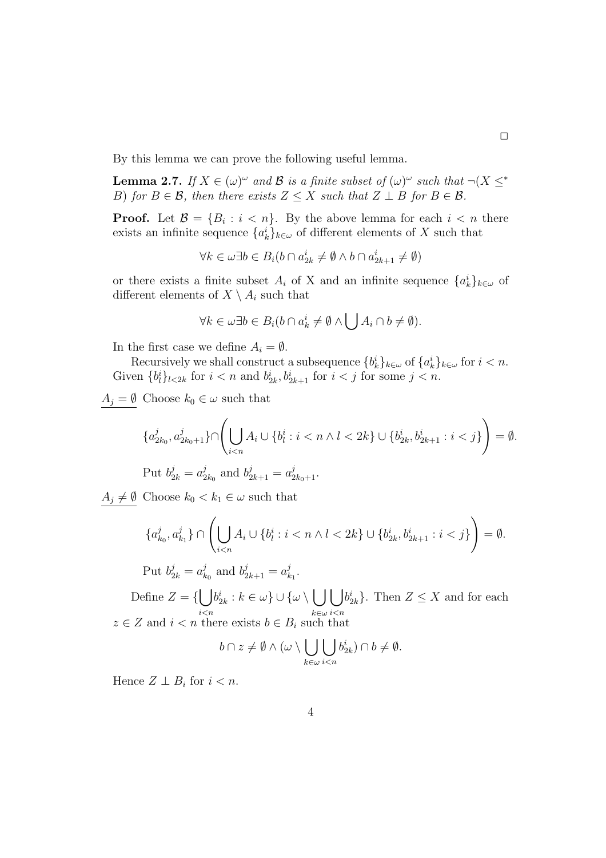By this lemma we can prove the following useful lemma.

**Lemma 2.7.** If  $X \in (\omega)^\omega$  and  $\mathcal{B}$  is a finite subset of  $(\omega)^\omega$  such that  $\neg(X \leq^*)$ B) for  $B \in \mathcal{B}$ , then there exists  $Z \leq X$  such that  $Z \perp B$  for  $B \in \mathcal{B}$ .

**Proof.** Let  $\mathcal{B} = \{B_i : i < n\}$ . By the above lemma for each  $i < n$  there exists an infinite sequence  $\{a_k^i\}_{k\in\omega}$  of different elements of X such that

$$
\forall k \in \omega \exists b \in B_i (b \cap a_{2k}^i \neq \emptyset \land b \cap a_{2k+1}^i \neq \emptyset)
$$

or there exists a finite subset  $A_i$  of X and an infinite sequence  $\{a_k^i\}_{k\in\omega}$  of different elements of  $X \setminus A_i$  such that

$$
\forall k \in \omega \exists b \in B_i (b \cap a_k^i \neq \emptyset \land \bigcup A_i \cap b \neq \emptyset).
$$

In the first case we define  $A_i = \emptyset$ .

Recursively we shall construct a subsequence  $\{b_k^i\}_{k\in\omega}$  of  $\{a_k^i\}_{k\in\omega}$  for  $i < n$ . Given  $\{b_i^i\}_{i\leq 2k}$  for  $i < n$  and  $b_{2k}^i, b_{2k+1}^i$  for  $i < j$  for some  $j < n$ .

 $A_j = \emptyset$  Choose  $k_0 \in \omega$  such that

$$
\{a_{2k_0}^j, a_{2k_0+1}^j\} \cap \left(\bigcup_{i < n} A_i \cup \{b_l^i : i < n \land l < 2k\} \cup \{b_{2k}^i, b_{2k+1}^i : i < j\}\right) = \emptyset.
$$
\nPut  $b_{2k}^j = a_{2k_0}^j$  and  $b_{2k+1}^j = a_{2k_0+1}^j$ .

 $A_j \neq \emptyset$  Choose  $k_0 < k_1 \in \omega$  such that

$$
\begin{aligned} &\{a_{k_0}^j,a_{k_1}^j\}\cap\left(\bigcup_{i
$$

Define  $Z = \{$  $\ddot{\phantom{1}}$  $i$  $\lt$ n  $b_{2k}^i : k \in \omega \} \cup \{\omega \setminus$  $\overline{\phantom{a}}$  $_{k\in\omega}$  $\overline{a}$  $i$  $\lt$ n  $b_{2k}^i$ . Then  $Z \leq X$  and for each  $z \in Z$  and  $i < n$  there exists  $b \in B_i$  such that

$$
b \cap z \neq \emptyset \land (\omega \setminus \bigcup_{k \in \omega} \bigcup_{i < n} b^i_{2k}) \cap b \neq \emptyset.
$$

Hence  $Z \perp B_i$  for  $i < n$ .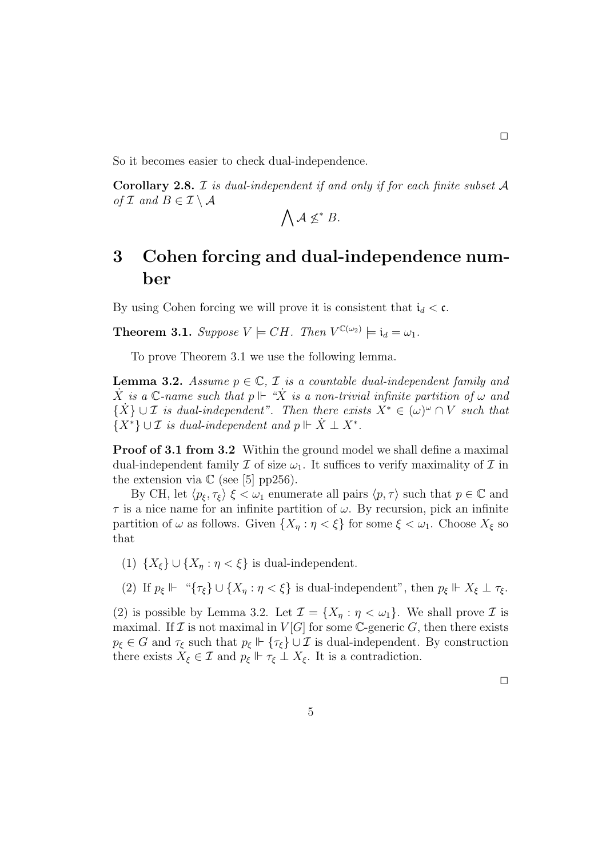So it becomes easier to check dual-independence.

**Corollary 2.8.**  $\mathcal I$  is dual-independent if and only if for each finite subset  $\mathcal A$ of  $\mathcal I$  and  $B \in \mathcal I \setminus \mathcal A$  $\mathbf{A}$ 

$$
\bigwedge \mathcal{A} \not\leq^* B.
$$

## 3 Cohen forcing and dual-independence number

By using Cohen forcing we will prove it is consistent that  $i_d < c$ .

**Theorem 3.1.** Suppose  $V \models CH$ . Then  $V^{C(\omega_2)} \models i_d = \omega_1$ .

To prove Theorem 3.1 we use the following lemma.

**Lemma 3.2.** Assume  $p \in \mathbb{C}$ ,  $\mathcal{I}$  is a countable dual-independent family and  $\dot{X}$  is a C-name such that  $p \Vdash ``\dot{X}$  is a non-trivial infinite partition of  $\omega$  and  $\{\dot{X}\}\cup\mathcal{I}$  is dual-independent". Then there exists  $X^*\in[\omega^\omega\cap V$  such that  $\{X^*\}\cup \mathcal{I}$  is dual-independent and  $p \Vdash \dot{X} \perp X^*$ .

**Proof of 3.1 from 3.2** Within the ground model we shall define a maximal dual-independent family  $\mathcal I$  of size  $\omega_1$ . It suffices to verify maximality of  $\mathcal I$  in the extension via  $\mathbb C$  (see [5] pp256).

By CH, let  $\langle p_{\xi}, \tau_{\xi} \rangle \xi < \omega_1$  enumerate all pairs  $\langle p, \tau \rangle$  such that  $p \in \mathbb{C}$  and  $\tau$  is a nice name for an infinite partition of  $\omega$ . By recursion, pick an infinite partition of  $\omega$  as follows. Given  $\{X_\eta : \eta < \xi\}$  for some  $\xi < \omega_1$ . Choose  $X_\xi$  so that

- (1)  $\{X_{\epsilon}\}\cup\{X_{n}:\eta<\xi\}$  is dual-independent.
- (2) If  $p_{\xi} \Vdash {\text{``}} {\{\tau_{\xi}\}} \cup {\{X_{\eta} : \eta < \xi\}}$  is dual-independent", then  $p_{\xi} \Vdash X_{\xi} \perp \tau_{\xi}$ .

(2) is possible by Lemma 3.2. Let  $\mathcal{I} = \{X_n : \eta < \omega_1\}$ . We shall prove  $\mathcal I$  is maximal. If  $\mathcal I$  is not maximal in  $V[G]$  for some C-generic G, then there exists  $p_{\xi} \in G$  and  $\tau_{\xi}$  such that  $p_{\xi} \Vdash {\tau_{\xi}} \cup \mathcal{I}$  is dual-independent. By construction there exists  $X_{\xi} \in \mathcal{I}$  and  $p_{\xi} \Vdash \tau_{\xi} \perp X_{\xi}$ . It is a contradiction.

 $\Box$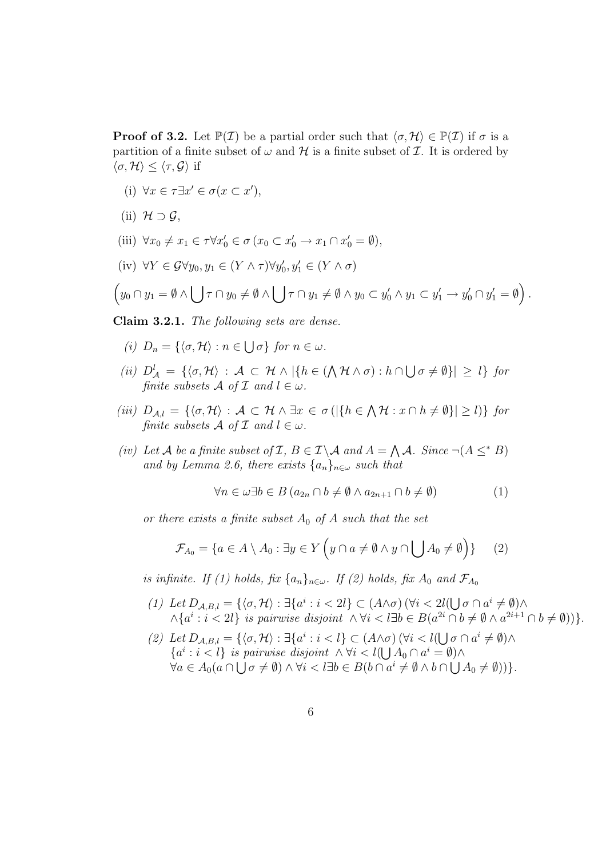**Proof of 3.2.** Let  $\mathbb{P}(\mathcal{I})$  be a partial order such that  $\langle \sigma, \mathcal{H} \rangle \in \mathbb{P}(\mathcal{I})$  if  $\sigma$  is a partition of a finite subset of  $\omega$  and  $\mathcal H$  is a finite subset of  $\mathcal I$ . It is ordered by  $\langle \sigma, \mathcal{H} \rangle \leq \langle \tau, \mathcal{G} \rangle$  if

- (i)  $\forall x \in \tau \exists x' \in \sigma(x \subset x'),$
- (ii)  $\mathcal{H} \supset \mathcal{G}$ ,
- (iii)  $\forall x_0 \neq x_1 \in \tau \forall x'_0 \in \sigma \ (x_0 \subset x'_0 \to x_1 \cap x'_0 = \emptyset),$
- (iv)  $\forall Y \in \mathcal{G} \forall y_0, y_1 \in (Y \wedge \tau) \forall y'_0, y'_1 \in (Y \wedge \sigma)$

$$
\Big(y_0\cap y_1=\emptyset \wedge \bigcup \tau\cap y_0\neq \emptyset \wedge \bigcup \tau\cap y_1\neq \emptyset \wedge y_0\subset y_0'\wedge y_1\subset y_1'\to y_0'\cap y_1'=\emptyset\Big)\,.
$$

Claim 3.2.1. The following sets are dense.

- (i)  $D_n = \{\langle \sigma, \mathcal{H} \rangle : n \in$ S  $\sigma$ } for  $n \in \omega$ .
- (ii)  $D^l_{\mathcal{A}} = \{ \langle \sigma, \mathcal{H} \rangle : \mathcal{A} \subset \mathcal{H} \wedge | \{ h \in ($  $\mathbf{v}$  $\mathcal{H}\wedge\sigma) : h\cap$ S  $\sigma \neq \emptyset\} \geq l$ } for finite subsets  $\mathcal A$  of  $\mathcal I$  and  $l \in \omega$ .
- (iii)  $D_{\mathcal{A},l} = \{\langle \sigma, \mathcal{H} \rangle : \mathcal{A} \subset \mathcal{H} \wedge \exists x \in \sigma \, (\vert \{h \in \mathcal{A} \} \vert \mathcal{A} \vert \mathcal{A} \vert \mathcal{A} \vert \mathcal{A} \vert \mathcal{A} \vert \mathcal{A} \vert \mathcal{A} \mathcal{A} \vert \mathcal{A} \mathcal{A} \mathcal{A} \mathcal{A} \mathcal{A} \mathcal{A} \mathcal{A} \mathcal{A} \mathcal{A} \mathcal{A} \mathcal{A} \mathcal{A} \mathcal{A} \mathcal{A$  $\lambda$  $\mathcal{H}: x \cap h \neq \emptyset \} \geq l$ ) for finite subsets  $\mathcal A$  of  $\mathcal I$  and  $l \in \omega$ .
- (iv) Let A be a finite subset of  $\mathcal{I}, B \in \mathcal{I} \backslash \mathcal{A}$  and  $A =$  $\bigwedge A$ . Since  $\neg (A \leq^* B)$ and by Lemma 2.6, there exists  $\{a_n\}_{n\in\omega}$  such that

$$
\forall n \in \omega \exists b \in B \ (a_{2n} \cap b \neq \emptyset \land a_{2n+1} \cap b \neq \emptyset) \tag{1}
$$

or there exists a finite subset  $A_0$  of A such that the set

$$
\mathcal{F}_{A_0} = \{ a \in A \setminus A_0 : \exists y \in Y \left( y \cap a \neq \emptyset \land y \cap \bigcup A_0 \neq \emptyset \right) \} \tag{2}
$$

is infinite. If (1) holds, fix  $\{a_n\}_{n\in\omega}$ . If (2) holds, fix  $A_0$  and  $\mathcal{F}_{A_0}$ 

- (1) Let  $D_{A,B,l} = \{ \langle \sigma, \mathcal{H} \rangle : \exists \{a^i : i < 2l\} \subset (A \wedge \sigma) \, (\forall i < 2l) \}$ S  $\sigma \cap a^i \neq \emptyset$ ) $\wedge$  $\wedge \{a^i : i < 2l\}$  is pairwise disjoint  $\wedge \forall i < l \exists b \in B(a^{2i} \cap b \neq \emptyset \wedge a^{2i+1} \cap b \neq \emptyset)\}$ .
- (2) Let  $D_{A,B,l} = \{ \langle \sigma, \mathcal{H} \rangle : \exists \{a^i : i < l\} \subset (A \wedge \sigma) \, (\forall i < l) \}$ S  $\alpha \circ (\forall i < l(\bigcup_{\sigma} \bigcap a^{i} \neq \emptyset) \wedge$  ${a^i : i < l}$  is pairwise disjoint  $\wedge \forall i < l(\bigcup A_0 \cap a^i = \emptyset) \wedge$  $\forall a \in A_0(a \cap \bigcup \sigma \neq \emptyset) \land \forall i < l \exists b \in B(b \cap a^i \neq \emptyset \land b \cap \bigcup A_0 \neq \emptyset)\}\$ .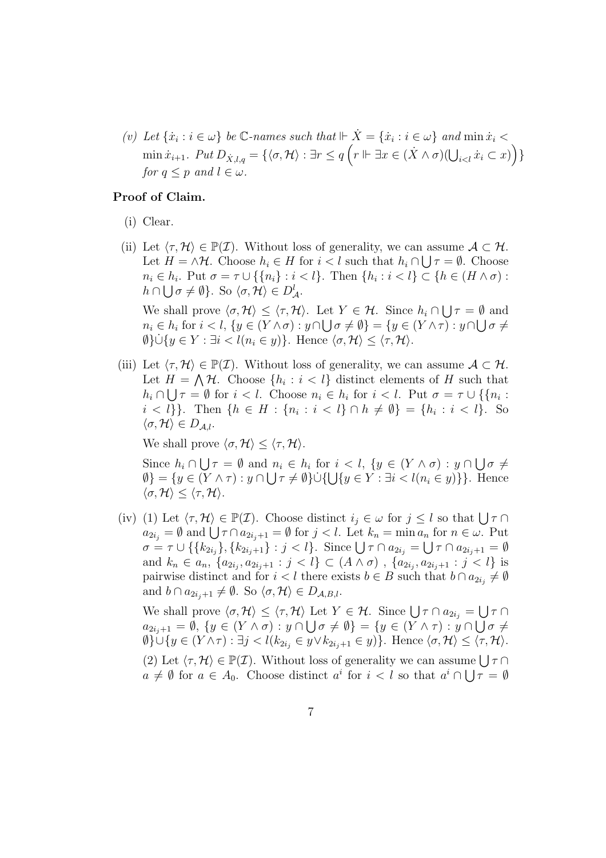(v) Let  $\{\dot{x}_i : i \in \omega\}$  be  $\mathbb{C}\text{-names such that } \Vdash \dot{X} = \{\dot{x}_i : i \in \omega\}$  and  $\min \dot{x}_i$  $\min \dot{x}_{i+1}$ .  $Put\ D_{\dot{X},l,q} = {\langle\langle \sigma,\mathcal{H}\rangle : \exists r\leq q \left(r \Vdash \exists x\in (\dot{X}\wedge \sigma)(\bigcup_{i< l}x_i \subset x)\right)}$ ´ } for  $q \leq p$  and  $l \in \omega$ .

### Proof of Claim.

- (i) Clear.
- (ii) Let  $\langle \tau, \mathcal{H} \rangle \in \mathbb{P}(\mathcal{I})$ . Without loss of generality, we can assume  $\mathcal{A} \subset \mathcal{H}$ . Let  $H = \wedge \mathcal{H}$ . Choose  $h_i \in H$  for  $i < l$  such that  $h_i \cap \bigcup \tau = \emptyset$ . Choose  $n_i \in h_i$ . Put  $\sigma = \tau \cup \{\{n_i\} : i < l\}$ . Then  $\{h_i : i < l\} \subset \{h \in (H \wedge \sigma) :$  $h \cap \bigcup \sigma \neq \emptyset$ . So  $\langle \sigma, \mathcal{H} \rangle \in D_{\mathcal{A}}^{l}$ . S

We shall prove  $\langle \sigma, \mathcal{H} \rangle \leq \langle \tau, \mathcal{H} \rangle$ . Let  $Y \in \mathcal{H}$ . Since  $h_i \cap$ let  $Y \in \mathcal{H}$ . Since  $h_i \cap \bigcup_{\tau} \tau = \emptyset$  and  $n_i \in h_i \text{ for } i < l, \{y \in (Y \wedge \sigma) : y \cap \bigcup \sigma \neq \emptyset\} = \{y \in (Y \wedge \tau) : y \cap \bigcup \sigma \neq \emptyset\}$  $\emptyset\} \cup \{y \in Y : \exists i < l(n_i \in y)\}.$  Hence  $\langle \sigma, \mathcal{H} \rangle \leq \langle \tau, \mathcal{H} \rangle.$ 

(iii) Let  $\langle \tau, \mathcal{H} \rangle \in \mathbb{P}(\mathcal{I})$ . Without loss of generality, we can assume  $\mathcal{A} \subset \mathcal{H}$ . Let  $H = \bigwedge_{i=1}^{\infty} H_i$ . Choose  $\{h_i : i < l\}$  distinct elements of H such that  $h_i \cap \bigcup \tau = \emptyset$  for  $i < l$ . Choose  $n_i \in h_i$  for  $i < l$ . Put  $\sigma = \tau \cup \{\{n_i :$  $i < l$ }. Then  $\{h \in H : \{n_i : i < l\} \cap h \neq \emptyset\} = \{h_i : i < l\}$ . So  $\langle \sigma, \mathcal{H} \rangle \in D_{\mathcal{A}.l}.$ 

We shall prove  $\langle \sigma, \mathcal{H} \rangle < \langle \tau, \mathcal{H} \rangle$ .

Since  $h_i \cap$ S  $\tau = \emptyset$  and  $n_i \in h_i$  for  $i < l$ ,  $\{y \in (Y \wedge \sigma) : y \cap$ S  $n_i \in h_i$  for  $i < l$ ,  $\{y \in (Y \wedge \sigma) : y \cap \bigcup \sigma \neq \emptyset\}$  $\emptyset$ } = { $y \in (Y \wedge \tau) : y \cap \bigcup \tau \neq \emptyset$ } $\cup \{\bigcup \{y \in Y : \exists i < l(n_i \in y)\}\}\$ . Hence  $\langle \sigma, \mathcal{H} \rangle \leq \langle \tau, \mathcal{H} \rangle.$ 

(iv) (1) Let  $\langle \tau, \mathcal{H} \rangle \in \mathbb{P}(\mathcal{I})$ . Choose distinct  $i_j \in \omega$  for  $j \leq l$  so that  $\bigcup \tau \cap$ (1) Let  $\langle 7, \pi \rangle \in \mathbb{F}(\mathcal{I})$ . Choose distinct  $i_j \in \omega$  for  $j \leq i$  so that  $\bigcup_{i=1}^{j+1} a_{2i_j} = \emptyset$  and  $\bigcup_{i=1}^{j} \tau \cap a_{2i_j+1} = \emptyset$  for  $j < l$ . Let  $k_n = \min a_n$  for  $n \in \omega$ . Put  $a_{2i_j} = \mathbf{v}$  and  $\bigcup_{j=1}^{j+1} a_{2i_j+1} = \mathbf{v}$  for  $j < i$ . Let  $\kappa_n = \min a_n$  for  $n \in \omega$ . Put  $\sigma = \tau \cup \{\{k_{2i_j}\}, \{k_{2i_j+1}\} : j < l\}$ . Since  $\bigcup_{j=1}^{j} \cap a_{2i_j} = \bigcup_{j=1}^{j} \cap a_{2i_j+1} = \emptyset$ and  $k_n \in a_n$ ,  $\{a_{2i_j}, a_{2i_j+1} : j < l\} \subset (A \wedge \sigma)$ ,  $\{a_{2i_j}, a_{2i_j+1} : j < l\}$  is pairwise distinct and for  $i < l$  there exists  $b \in B$  such that  $b \cap a_{2i_j} \neq \emptyset$ and  $b \cap a_{2i_1+1} \neq \emptyset$ . So  $\langle \sigma, \mathcal{H} \rangle \in D_{\mathcal{A},B,l}$ .

We shall prove  $\langle \sigma, \mathcal{H} \rangle \leq \langle \tau, \mathcal{H} \rangle$  Let  $Y \in \mathcal{H}$ . Since  $\bigcup \tau \cap a_{2i_j} =$ S Let  $Y \in \mathcal{H}$ . Since  $\bigcup \tau \cap a_{2i_j} = \bigcup \tau \cap$  $a_{2i_j+1} = \emptyset$ ,  $\{y \in (Y \wedge \sigma) : y \cap \bigcup \sigma \neq \emptyset\} = \{y \in (Y \wedge \tau) : y \cap \bigcup \sigma \neq \emptyset\}$  $\emptyset$ }∪{ $y \in (Y \wedge \tau)$ :  $\exists j < l$ ( $k_{2i_j} \in y \vee k_{2i_j+1} \in y$ )}. Hence  $\langle \sigma, \mathcal{H} \rangle \leq \langle \tau, \mathcal{H} \rangle$ . (2) Let  $\langle \tau, \mathcal{H} \rangle \in \mathbb{P}(\mathcal{I})$ . Without loss of generality we can assume  $\bigcup \tau \cap$  $a \neq \emptyset$  for  $a \in A_0$ . Choose distinct  $a^i$  for  $i < l$  so that  $a^i \cap \bigcup \tau = \emptyset$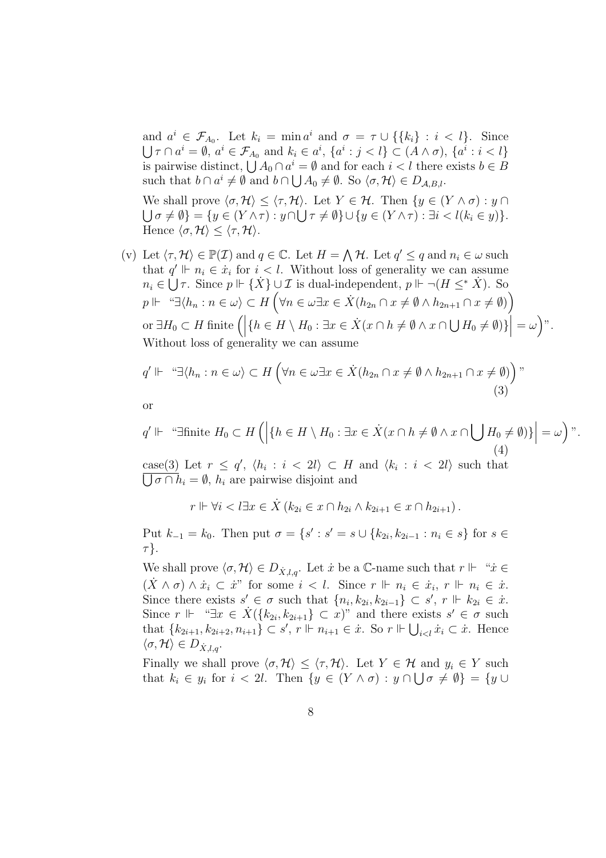and  $a^i \in \mathcal{F}_{A_0}$ . Let  $k_i = \min a^i$  and  $\sigma = \tau \cup \{\{k_i\} : i < l\}$ . Since  $\tau \cap a^i = \emptyset, a^i \in \mathcal{F}_{A_0} \text{ and } k_i \in a^i, \{a^i : j < l\} \subset (A \wedge \sigma), \{a^i : i < l\}$  $\bigcup_{i=1}^{n} a_i = \emptyset, a_i \in \mathcal{F}_{A_0}$  and  $\kappa_i \in a_i$ ,  $\{a : j \leq i\} \subset (A \wedge b_i)$ ,  $\{a : i \leq i\}$ <br>is pairwise distinct,  $\bigcup_{i=1}^{n} A_0 \cap a_i = \emptyset$  and for each  $i < l$  there exists  $b \in B$ such that  $b \cap a^i \neq \emptyset$  and  $b \cap \bigcup A_0 \neq \emptyset$ . So  $\langle \sigma, \mathcal{H} \rangle \in D_{\mathcal{A},B,l}$ .

We shall prove  $\langle \sigma, \mathcal{H} \rangle \leq \langle \tau, \mathcal{H} \rangle$ . Let  $Y \in \mathcal{H}$ . Then  $\{y \in (Y \wedge \sigma) : y \cap$  $\sigma \neq \emptyset$ } = { $y \in (Y \wedge \tau) : y \cap \bigcup \tau \neq \emptyset$ } $\cup \{y \in (Y \wedge \tau) : \exists i < l(k_i \in y)\}.$ Hence  $\langle \sigma, \mathcal{H} \rangle \leq \langle \tau, \mathcal{H} \rangle$ .

(v) Let  $\langle \tau, \mathcal{H} \rangle \in \mathbb{P}(\mathcal{I})$  and  $q \in \mathbb{C}$ . Let  $H =$  $\mathbf{v}$ *H*. Let  $q' \leq q$  and  $n_i \in \omega$  such that  $q' \Vdash n_i \in \dot{x}_i$  for  $i < l$ . Without loss of generality we can assume  $n_i \in \bigcup \tau$ . Since  $p \Vdash {\{\dot{X}\}} \cup \mathcal{I}$  is dual-independent,  $p \Vdash \neg (H \leq^* \dot{X})$ . So  $p \Vdash \text{``}\exists \langle h_n : n \in \omega \rangle \subset H \big(\forall n \in \omega \exists x \in \dot{X} (h_{2n} \cap x \neq \emptyset \land h_{2n+1} \cap x \neq \emptyset)$ ´  $P^{n-1} \cup \{n, n \in \mathbb{Z}\} \subseteq H \text{ (in } \mathbb{Z} \subseteq \mathbb{Z} \subseteq \mathbb{Z} \setminus \{n_{2n+1} \mid x \in \mathbb{Z}\} \cap \{n_{2n+1} \mid x \in \mathbb{Z}\}$  $H_0 \neq \emptyset$ ) $\}$  $= \omega$  $\frac{1}{1}$ ´ ". Without loss of generality we can assume

$$
q' \Vdash \text{``}\exists \langle h_n : n \in \omega \rangle \subset H \left( \forall n \in \omega \exists x \in \dot{X} (h_{2n} \cap x \neq \emptyset \land h_{2n+1} \cap x \neq \emptyset) \right) \text{''}
$$
\n
$$
(3)
$$

or

$$
q' \Vdash \text{``} \exists \text{finite } H_0 \subset H \left( \left| \{ h \in H \setminus H_0 : \exists x \in \dot{X}(x \cap h \neq \emptyset \land x \cap \bigcup H_0 \neq \emptyset) \} \right| = \omega \right) \text{''}.
$$
\n
$$
(4)
$$

case(3) Let  $r \leq q'$ ,  $\langle h_i : i < 2l \rangle \subset H$  and  $\langle k_i : i < 2l \rangle$  such that  $\bigcup \sigma \cap h_i = \emptyset$ ,  $h_i$  are pairwise disjoint and

 $r \Vdash \forall i < l \exists x \in \dot{X} (k_{2i} \in x \cap h_{2i} \wedge k_{2i+1} \in x \cap h_{2i+1}).$ 

Put  $k_{-1} = k_0$ . Then put  $\sigma = \{s' : s' = s \cup \{k_{2i}, k_{2i-1} : n_i \in s\}$  for  $s \in \mathbb{R}$ τ}.

We shall prove  $\langle \sigma, \mathcal{H} \rangle \in D_{\dot{X},l,q}$ . Let  $\dot{x}$  be a C-name such that  $r \Vdash \text{``}\dot{x} \in$  $(\dot{X} \wedge \sigma) \wedge \dot{x}_i \subset \dot{x}^i$  for some  $i < l$ . Since  $r \Vdash n_i \in \dot{x}_i$ ,  $r \Vdash n_i \in \dot{x}$ . Since there exists  $s' \in \sigma$  such that  $\{n_i, k_{2i}, k_{2i-1}\} \subset s'$ ,  $r \Vdash k_{2i} \in \dot{x}$ . Since  $r \Vdash \text{``}\exists x \in \dot{X}(\{k_{2i}, k_{2i+1}\} \subset x)$ " and there exists  $s' \in \sigma$  such that  $\{k_{2i+1}, k_{2i+2}, n_{i+1}\} \subset s'$ ,  $r \Vdash n_{i+1} \in \dot{x}$ . So  $r \Vdash \bigcup_{i < l} \dot{x}_i \subset \dot{x}$ . Hence  $\langle \sigma, \mathcal{H} \rangle \in D_{\dot{X},l,q}$ .

Finally we shall prove  $\langle \sigma, \mathcal{H} \rangle \leq \langle \tau, \mathcal{H} \rangle$ . Let  $Y \in \mathcal{H}$  and  $y_i \in Y$  such that  $k_i \in y_i$  for  $i < 2l$ . Then  $\{y \in (Y \wedge \sigma) : y \cap \bigcup \sigma \neq \emptyset\} = \{y \cup \sigma\}$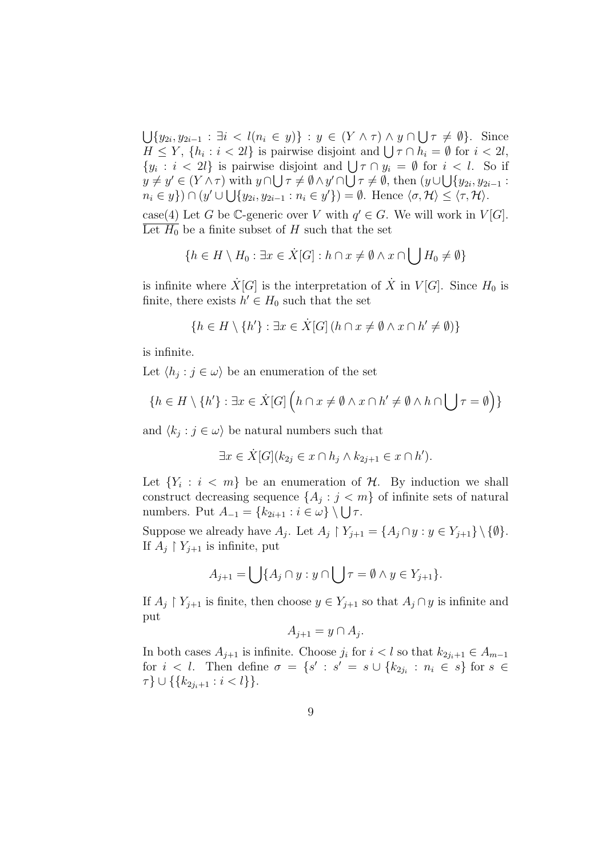S  ${y_{2i}, y_{2i-1} : \exists i \, \langle \, l(n_i \in y) \rangle : y \in (Y \wedge \tau) \wedge y \cap \}$ S  $\tau \neq \emptyset$ . Since  $H \leq Y$ ,  $\{h_i : i < 2l\}$  is pairwise disjoint and  $\bigcup \tau \cap h_i = \emptyset$  for  $i < 2l$ ,  $H \leq Y$ ,  $\{h_i : i < 2l\}$  is pairwise disjoint and  $\bigcup \tau \cap h_i = \emptyset$  for  $i < 2l$ ,  $H \leq I$ ,  $\{h_i : i < 2l\}$  is pairwise disjoint and  $\bigcup_{i} \tau \cap y_i = \emptyset$  for  $i < l$ . So if  $\{y_i : i < 2l\}$  is pairwise disjoint and  $\bigcup_{i} \tau \cap y_i = \emptyset$  for  $i < l$ . So if  $y \neq y' \in (Y \wedge \tau)$  with  $y \cap \bigcup \tau \neq \emptyset \wedge y' \cap \bigcup \tau \neq \emptyset$ , then  $(y \cup \bigcup \{y_{2i}, y_{2i-1} : y_{2i-1}\})$  $n_i \in y$ )  $\cap (y' \cup \bigcup \{y_{2i}, y_{2i-1} : n_i \in y'\}) = \emptyset$ . Hence  $\langle \sigma, \mathcal{H} \rangle \leq \langle \tau, \mathcal{H} \rangle$ .

case(4) Let G be C-generic over V with  $q' \in G$ . We will work in  $V[G]$ . Let  $H_0$  be a finite subset of H such that the set

$$
\{h \in H \setminus H_0 : \exists x \in \dot{X}[G] : h \cap x \neq \emptyset \land x \cap \bigcup H_0 \neq \emptyset\}
$$

is infinite where  $\dot{X}[G]$  is the interpretation of  $\dot{X}$  in  $V[G]$ . Since  $H_0$  is finite, there exists  $h' \in H_0$  such that the set

$$
\{h\in H\setminus\{h'\}: \exists x\in \dot{X}[G]\, (h\cap x\neq\emptyset\wedge x\cap h'\neq\emptyset)\}
$$

is infinite.

Let  $\langle h_j : j \in \omega \rangle$  be an enumeration of the set

$$
\{h \in H \setminus \{h'\} : \exists x \in \dot{X}[G] \left( h \cap x \neq \emptyset \land x \cap h' \neq \emptyset \land h \cap \bigcup \tau = \emptyset \right) \}
$$

and  $\langle k_j : j \in \omega \rangle$  be natural numbers such that

$$
\exists x \in \dot{X}[G](k_{2j} \in x \cap h_j \land k_{2j+1} \in x \cap h').
$$

Let  $\{Y_i : i < m\}$  be an enumeration of  $H$ . By induction we shall construct decreasing sequence  $\{A_j : j < m\}$  of infinite sets of natural construct decreasing sequence  $\{A_j : j \leq n\}$ <br>numbers. Put  $A_{-1} = \{k_{2i+1} : i \in \omega\} \setminus \bigcup \tau$ .

Suppose we already have  $A_j$ . Let  $A_j \restriction Y_{j+1} = \{A_j \cap y : y \in Y_{j+1}\} \setminus \{\emptyset\}.$ If  $A_j \restriction Y_{j+1}$  is infinite, put

$$
A_{j+1} = \bigcup \{ A_j \cap y : y \cap \bigcup \tau = \emptyset \land y \in Y_{j+1} \}.
$$

If  $A_j \upharpoonright Y_{j+1}$  is finite, then choose  $y \in Y_{j+1}$  so that  $A_j \cap y$  is infinite and put

$$
A_{j+1} = y \cap A_j.
$$

In both cases  $A_{j+1}$  is infinite. Choose  $j_i$  for  $i < l$  so that  $k_{2j_i+1} \in A_{m-1}$ for  $i < l$ . Then define  $\sigma = \{s' : s' = s \cup \{k_{2j_i} : n_i \in s\}$  for  $s \in$  $\{\tau\} \cup \{\{k_{2j_i+1} : i < l\}\}.$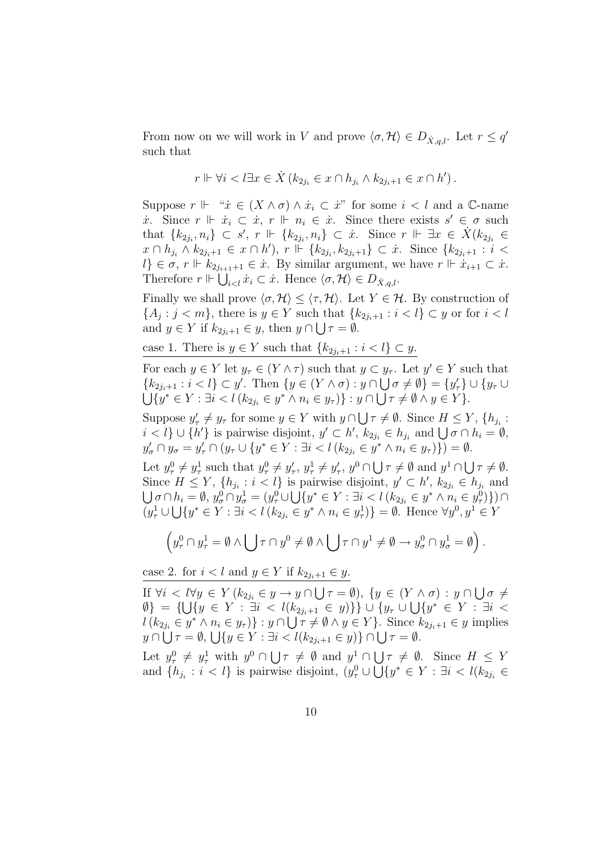From now on we will work in V and prove  $\langle \sigma, \mathcal{H} \rangle \in D_{\dot{X},q,l}$ . Let  $r \leq q'$ such that

$$
r \Vdash \forall i < l \exists x \in \dot{X} \ (k_{2j_i} \in x \cap h_{j_i} \land k_{2j_i+1} \in x \cap h').
$$

Suppose  $r \Vdash "x \in (X \wedge \sigma) \wedge \dot{x}_i \subset \dot{x}$ " for some  $i < l$  and a C-name  $\dot{x}$ . Since  $r \Vdash \dot{x}_i \subset \dot{x}, r \Vdash n_i \in \dot{x}$ . Since there exists  $s' \in \sigma$  such that  $\{k_{2j_i}, n_i\} \subset s'$ ,  $r \Vdash \{k_{2j_i}, n_i\} \subset \dot{x}$ . Since  $r \Vdash \exists x \in \dot{X}(k_{2j_i} \in$  $x \cap h_{j_i} \wedge k_{2j_i+1} \in x \cap h'$ ,  $r \Vdash \{k_{2j_i}, k_{2j_i+1}\} \subset \dot{x}$ . Since  $\{k_{2j_i+1} : i <$  $l$ }  $\in \sigma$ ,  $r \Vdash k_{2j_{i+1}+1} \in \dot{x}$ . By similar argument, we have  $r \Vdash \dot{x}_{i+1} \subset \dot{x}$ . Therefore  $r \Vdash \bigcup_{i < l} \dot{x}_i \subset \dot{x}$ . Hence  $\langle \sigma, \mathcal{H} \rangle \in D_{\dot{X},q,l}$ .

Finally we shall prove  $\langle \sigma, \mathcal{H} \rangle \leq \langle \tau, \mathcal{H} \rangle$ . Let  $Y \in \mathcal{H}$ . By construction of  ${A_j : j < m}$ , there is  $y \in Y$  such that  ${k_{2j_i+1} : i < l} \subset y$  or for  $i < l$ and  $y \in Y$  if  $k_{2j_i+1} \in y$ , then  $y \cap \bigcup \tau = \emptyset$ .

case 1. There is  $y \in Y$  such that  $\{k_{2i+1} : i < l\} \subset y$ .

For each  $y \in Y$  let  $y_\tau \in (Y \wedge \tau)$  such that  $y \subset y_\tau$ . Let  $y' \in Y$  such that  ${k_{2j_i+1} : i < l} \subset y'$ . Then  ${y \in (Y \wedge \sigma) : y \cap \bigcup \sigma \neq \emptyset} = {y'_{\tau}} \cup {y_{\tau}} \cup$  $\{y^* \in Y : \exists i < l \ (k_{2j_i} \in y^* \land n_i \in y_{\tau})\} : y \cap \bigcup \tau \neq \emptyset \land y \in Y\}.$  $\frac{3}{1}$ 

Suppose  $y'_{\tau} \neq y_{\tau}$  for some  $y \in Y$  with  $y \cap$  $\tau \neq \emptyset$ . Since  $H \leq Y$ ,  $\{h_{j_i} :$ suppose  $y_{\tau} \neq y_{\tau}$  for some  $y \in Y$  with  $y \cap \bigcup_{i \in \mathcal{I}} y_i \neq y$ . Since  $H \leq Y$ ,  $\{h_{j_i} : i < l\} \cup \{h'\}$  is pairwise disjoint,  $y' \subset h'$ ,  $k_{2j_i} \in h_{j_i}$  and  $\bigcup_{i \in \mathcal{I}} \sigma \cap h_i = \emptyset$ ,  $y'_{\sigma} \cap y_{\sigma} = y'_{\tau} \cap (y_{\tau} \cup \{y^* \in Y : \exists i < l \ (k_{2j_i} \in y^* \land n_i \in y_{\tau})\}) = \emptyset.$ 

Let  $y_{\tau}^0 \neq y_{\tau}^1$  such that  $y_{\tau}^0 \neq y_{\tau}', y_{\tau}^1 \neq y_{\tau}', y_0^0 \cap \bigcup$  $\tau \neq \emptyset$  and  $y^1 \cap \bigcup$  $\tau \neq \emptyset$ . Since  $H \leq Y$ ,  $\{h_{j_i} : i < l\}$  is pairwise disjoint,  $y' \subset h'$ ,  $k_{2j_i} \in h_{j_i}$  and  $\sigma \cap h_i = \emptyset, y_\sigma^0 \cap y_\sigma^1 = (y_\tau^0 \cup \bigcup \{y^* \in Y : \exists i < l \ (k_{2j_i} \in y^* \land n_i \in y_\tau^0) \}) \cap$  $(y^{1}_{\tau} \cup \bigcup \{y^{*} \in Y : \exists i < l \ (k_{2j_{i}} \in y^{*} \wedge n_{i} \in y^{1}_{\tau})\} = \emptyset$ . Hence  $\forall y^{0}, y^{1} \in Y$ 

$$
\left(y_{\tau}^0 \cap y_{\tau}^1 = \emptyset \wedge \bigcup \tau \cap y^0 \neq \emptyset \wedge \bigcup \tau \cap y^1 \neq \emptyset \rightarrow y_{\sigma}^0 \cap y_{\sigma}^1 = \emptyset \right).
$$

case 2. for  $i < l$  and  $y \in Y$  if  $k_{2j_i+1} \in y$ .

If  $\forall i \, < \, l \forall y \, \in \, Y \, (k_{2j_i} \in y \to y \cap y)$  $\frac{1}{1}$  $\tau = \emptyset$ ),  $\{y \in (Y \wedge \sigma) : y \cap$ S  $l \forall y \in Y (k_{2j_i} \in y \to y \cap \bigcup \tau = \emptyset), \{y \in (Y \wedge \sigma) : y \cap \bigcup \sigma \neq \emptyset\}$  $\emptyset$ } = {U{y ∈ Y : ∃i < l(k<sub>2ji+1</sub> ∈ y)}} ∪ {y<sub>r</sub> ∪ U{y<sup>\*</sup> ∈ Y : ∃i <  $l(k_{2j_i} \in y^* \land n_i \in y_\tau)$  :  $y \cap \bigcup_{\tau \neq \emptyset} \land y \in Y$ . Since  $k_{2j_i+1} \in y$  implies  $u(k_{2j_i} \in y \land n_i \in y_{\tau})$ ;  $y \cap \bigcup_{\tau} \tau = \emptyset$ ,  $\bigcup \{y \in Y : \exists i < l(k_{2j_i+1} \in y) \} \cap \bigcup \tau = \emptyset$ .

Let  $y_\tau^0 \neq y_\tau^1$  with  $y^0 \cap \bigcup$  $\tau \neq \emptyset$  and  $y^1 \cap \bigcup$  $\bigcup \tau \neq \emptyset$ . Since  $H \leq Y$ and  $\{h_{j_i} : i < l\}$  is pairwise disjoint,  $(y^0_\tau \cup \bigcup \{y^* \in Y : \exists i < l(k_{2j_i} \in$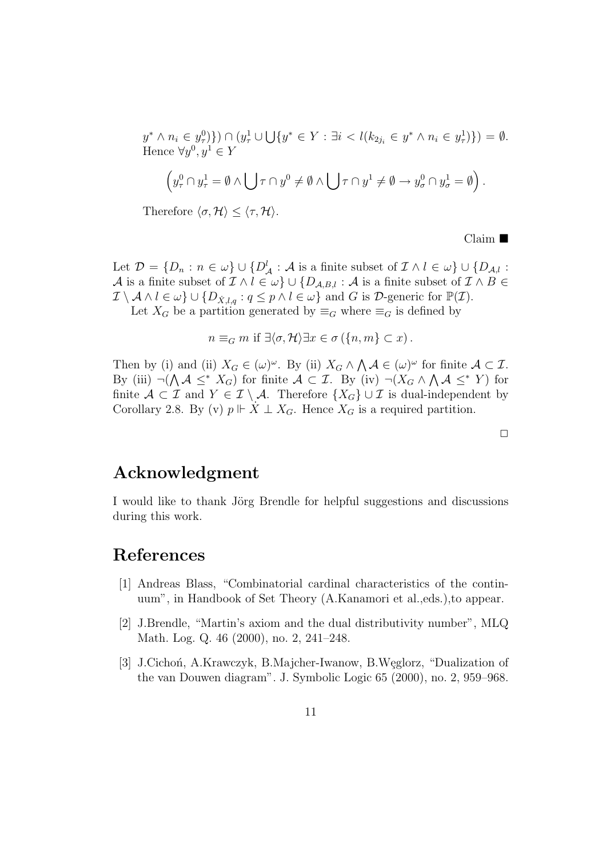$$
y^* \wedge n_i \in y_\tau^0) \} ) \cap (y_\tau^1 \cup \bigcup \{ y^* \in Y : \exists i < l(k_{2j_i} \in y^* \wedge n_i \in y_\tau^1) \} ) = \emptyset.
$$
  
Hence  $\forall y^0, y^1 \in Y$ 

$$
\left(y_{\tau}^0 \cap y_{\tau}^1 = \emptyset \wedge \bigcup \tau \cap y^0 \neq \emptyset \wedge \bigcup \tau \cap y^1 \neq \emptyset \rightarrow y_{\sigma}^0 \cap y_{\sigma}^1 = \emptyset \right).
$$

Therefore  $\langle \sigma, \mathcal{H} \rangle \le \langle \tau, \mathcal{H} \rangle$ .

Claim $\blacksquare$ 

Let  $\mathcal{D} = \{D_n : n \in \omega\} \cup \{D^l_{\mathcal{A}} : \mathcal{A} \text{ is a finite subset of } \mathcal{I} \wedge l \in \omega\} \cup \{D_{\mathcal{A},l} : \mathcal{A} \text{ is a finite subset of } \mathcal{I} \wedge l \in \omega\}$ A is a finite subset of  $\mathcal{I} \wedge l \in \omega$   $\cup$  { $D_{\mathcal{A},B,l}$  : A is a finite subset of  $\mathcal{I} \wedge B \in$  $\mathcal{I} \setminus \mathcal{A} \wedge l \in \omega \} \cup \{D_{\dot{X},l,q} : q \leq p \wedge l \in \omega \}$  and G is  $\mathcal{D}$ -generic for  $\mathbb{P}(\mathcal{I})$ .

Let  $X_G$  be a partition generated by  $\equiv_G$  where  $\equiv_G$  is defined by

 $n \equiv_G m$  if  $\exists \langle \sigma, \mathcal{H} \rangle \exists x \in \sigma (\{n, m\} \subset x)$ .

Then by (i) and (ii)  $X_G \in (\omega)^\omega$ . By (ii)  $X_G \wedge$  $\mathbf{v}$ and (ii)  $X_G \in (\omega)^\omega$ . By (ii)  $X_G \wedge \bigwedge \mathcal{A} \in (\omega)^\omega$  for finite  $\mathcal{A} \subset \mathcal{I}$ . By (iii)  $\neg(\bigwedge \mathcal{A} \leq^* X_G)$  for finite  $\mathcal{A} \subset \mathcal{I}$ . By (iv)  $\neg(X_G \wedge \bigwedge \mathcal{A} \leq^* Y)$  for finite  $A \subset \mathcal{I}$  and  $Y \in \mathcal{I} \setminus \mathcal{A}$ . Therefore  $\{X_G\} \cup \mathcal{I}$  is dual-independent by Corollary 2.8. By (v)  $p \Vdash X \perp X_G$ . Hence  $X_G$  is a required partition.

 $\Box$ 

### Acknowledgment

I would like to thank Jörg Brendle for helpful suggestions and discussions during this work.

### References

- [1] Andreas Blass, "Combinatorial cardinal characteristics of the continuum", in Handbook of Set Theory (A.Kanamori et al.,eds.),to appear.
- [2] J.Brendle, "Martin's axiom and the dual distributivity number", MLQ Math. Log. Q. 46 (2000), no. 2, 241–248.
- [3] J.Cichoń, A.Krawczyk, B.Majcher-Iwanow, B.Węglorz, "Dualization of the van Douwen diagram". J. Symbolic Logic 65 (2000), no. 2, 959–968.